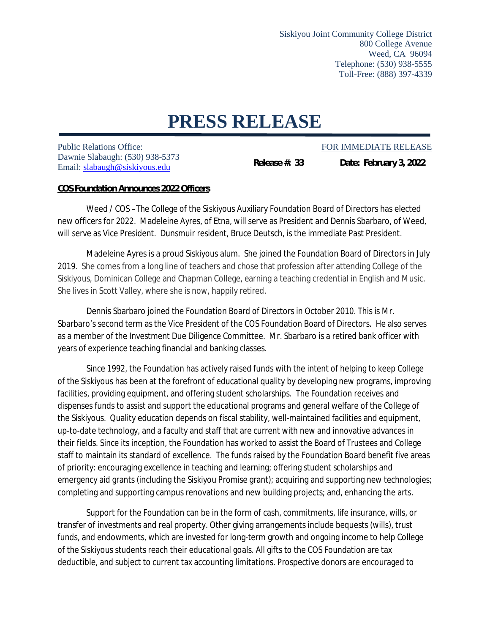Siskiyou Joint Community College District 800 College Avenue Weed, CA 96094 Telephone: (530) 938-5555 Toll-Free: (888) 397-4339

## **PRESS RELEASE**

Public Relations Office: FOR IMMEDIATE RELEASE Dawnie Slabaugh: (530) 938-5373 Email[: slabaugh@siskiyous.edu](mailto:slabaugh@siskiyous.edu)

**Release #: 33 Date: February 3, 2022**

## **COS Foundation Announces 2022 Officers**

Weed / COS –The College of the Siskiyous Auxiliary Foundation Board of Directors has elected new officers for 2022. Madeleine Ayres, of Etna, will serve as President and Dennis Sbarbaro, of Weed, will serve as Vice President. Dunsmuir resident, Bruce Deutsch, is the immediate Past President.

Madeleine Ayres is a proud Siskiyous alum. She joined the Foundation Board of Directors in July 2019. She comes from a long line of teachers and chose that profession after attending College of the Siskiyous, Dominican College and Chapman College, earning a teaching credential in English and Music. She lives in Scott Valley, where she is now, happily retired.

Dennis Sbarbaro joined the Foundation Board of Directors in October 2010. This is Mr. Sbarbaro's second term as the Vice President of the COS Foundation Board of Directors. He also serves as a member of the Investment Due Diligence Committee. Mr. Sbarbaro is a retired bank officer with years of experience teaching financial and banking classes.

Since 1992, the Foundation has actively raised funds with the intent of helping to keep College of the Siskiyous has been at the forefront of educational quality by developing new programs, improving facilities, providing equipment, and offering student scholarships. The Foundation receives and dispenses funds to assist and support the educational programs and general welfare of the College of the Siskiyous. Quality education depends on fiscal stability, well-maintained facilities and equipment, up-to-date technology, and a faculty and staff that are current with new and innovative advances in their fields. Since its inception, the Foundation has worked to assist the Board of Trustees and College staff to maintain its standard of excellence. The funds raised by the Foundation Board benefit five areas of priority: encouraging excellence in teaching and learning; offering student scholarships and emergency aid grants (including the Siskiyou Promise grant); acquiring and supporting new technologies; completing and supporting campus renovations and new building projects; and, enhancing the arts.

Support for the Foundation can be in the form of cash, commitments, life insurance, wills, or transfer of investments and real property. Other giving arrangements include bequests (wills), trust funds, and endowments, which are invested for long-term growth and ongoing income to help College of the Siskiyous students reach their educational goals. All gifts to the COS Foundation are tax deductible, and subject to current tax accounting limitations. Prospective donors are encouraged to